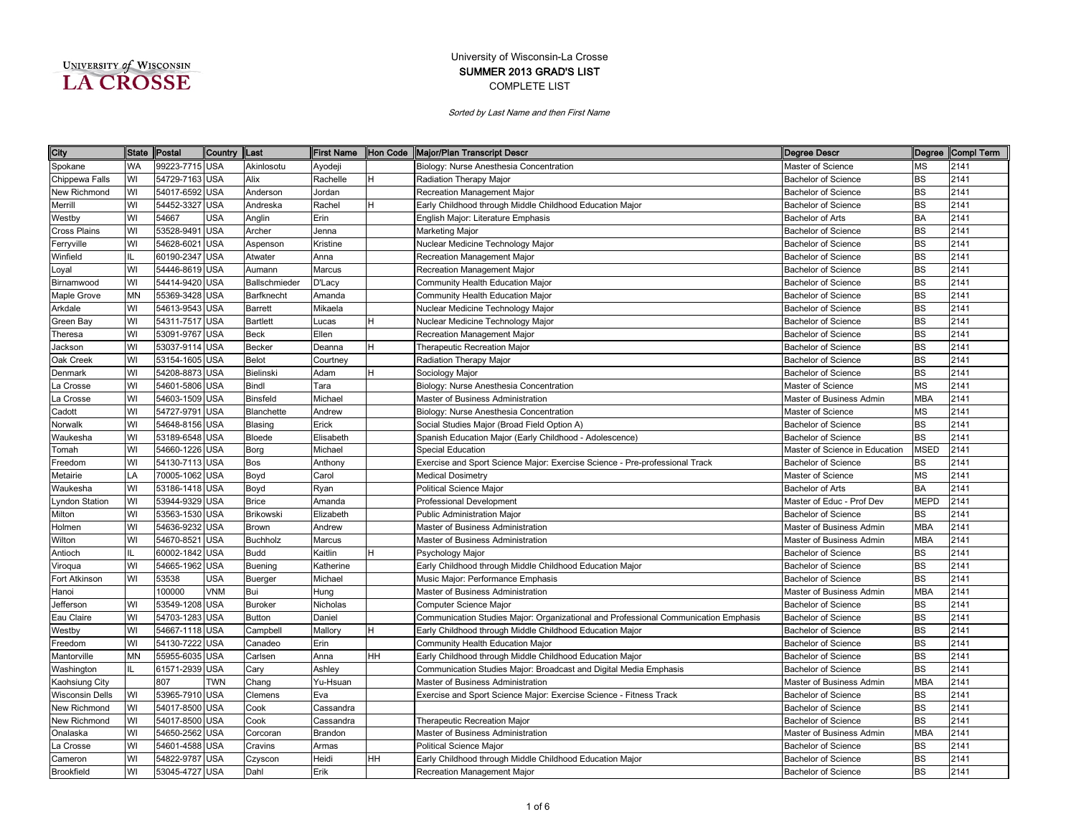| UNIVERSITY of WISCONSIN |  |
|-------------------------|--|
| <b>A CROSSE</b>         |  |

| City                   | <b>State</b> | Postal         | Country  Last |                 | <b>First Name</b> | Hon Code | Major/Plan Transcript Descr                                                         | <b>Degree Descr</b>            |             | Degree Compl Term |
|------------------------|--------------|----------------|---------------|-----------------|-------------------|----------|-------------------------------------------------------------------------------------|--------------------------------|-------------|-------------------|
| Spokane                | <b>WA</b>    | 99223-7715 USA |               | Akinlosotu      | Ayodeji           |          | Biology: Nurse Anesthesia Concentration                                             | Master of Science              | <b>MS</b>   | 2141              |
| Chippewa Falls         | WI           | 54729-7163 USA |               | Alix            | Rachelle          | H        | Radiation Therapy Major                                                             | <b>Bachelor of Science</b>     | <b>BS</b>   | 2141              |
| New Richmond           | WI           | 54017-6592 USA |               | Anderson        | Jordan            |          | Recreation Management Major                                                         | <b>Bachelor of Science</b>     | <b>BS</b>   | 2141              |
| Merrill                | WI           | 54452-3327 USA |               | Andreska        | Rachel            | H        | Early Childhood through Middle Childhood Education Major                            | <b>Bachelor of Science</b>     | <b>BS</b>   | 2141              |
| Westby                 | WI           | 54667          | USA           | Anglin          | Erin              |          | English Major: Literature Emphasis                                                  | Bachelor of Arts               | <b>BA</b>   | 2141              |
| Cross Plains           | WI           | 53528-9491 USA |               | Archer          | Jenna             |          | Marketing Major                                                                     | <b>Bachelor of Science</b>     | <b>BS</b>   | 2141              |
| Ferryville             | WI           | 54628-6021 USA |               | Aspenson        | Kristine          |          | Nuclear Medicine Technology Major                                                   | Bachelor of Science            | <b>BS</b>   | 2141              |
| Winfield               | IL           | 60190-2347 USA |               | Atwater         | Anna              |          | Recreation Management Major                                                         | <b>Bachelor of Science</b>     | <b>BS</b>   | 2141              |
| .oyal                  | WI           | 54446-8619     | <b>USA</b>    | Aumann          | Marcus            |          | Recreation Management Major                                                         | <b>Bachelor of Science</b>     | <b>BS</b>   | 2141              |
| Birnamwood             | WI           | 54414-9420     | <b>USA</b>    | Ballschmieder   | D'Lacy            |          | Community Health Education Major                                                    | <b>Bachelor of Science</b>     | <b>BS</b>   | 2141              |
| Maple Grove            | <b>MN</b>    | 55369-3428     | USA           | Barfknecht      | Amanda            |          | Community Health Education Major                                                    | <b>Bachelor of Science</b>     | <b>BS</b>   | 2141              |
| Arkdale                | WI           | 54613-9543     | <b>USA</b>    | <b>Barrett</b>  | Mikaela           |          | Nuclear Medicine Technology Major                                                   | <b>Bachelor of Science</b>     | <b>BS</b>   | 2141              |
| Green Bay              | WI           | 54311-7517     | <b>USA</b>    | <b>Bartlett</b> | Lucas             | H        | Nuclear Medicine Technology Major                                                   | <b>Bachelor of Science</b>     | <b>BS</b>   | 2141              |
| Theresa                | WI           | 53091-9767     | <b>USA</b>    | <b>Beck</b>     | Ellen             |          | Recreation Management Major                                                         | <b>Bachelor of Science</b>     | <b>BS</b>   | 2141              |
| Jackson                | WI           | 53037-9114     | <b>USA</b>    | <b>Becker</b>   | Deanna            | H        | Therapeutic Recreation Major                                                        | <b>Bachelor of Science</b>     | <b>BS</b>   | 2141              |
| Oak Creek              | WI           | 53154-1605     | <b>USA</b>    | <b>Belot</b>    | Courtney          |          | Radiation Therapy Major                                                             | <b>Bachelor of Science</b>     | <b>BS</b>   | 2141              |
| Denmark                | WI           | 54208-8873     | <b>USA</b>    | Bielinski       | Adam              | н        | Sociology Major                                                                     | <b>Bachelor of Science</b>     | <b>BS</b>   | 2141              |
| a Crosse               | WI           | 54601-5806 USA |               | Bindl           | Tara              |          | Biology: Nurse Anesthesia Concentration                                             | Master of Science              | <b>MS</b>   | 2141              |
| a Crosse               | WI           | 54603-1509 USA |               | Binsfeld        | Michael           |          | Master of Business Administration                                                   | Master of Business Admin       | <b>MBA</b>  | 2141              |
| Cadott                 | WI           | 54727-9791     | <b>USA</b>    | Blanchette      | Andrew            |          | Biology: Nurse Anesthesia Concentration                                             | Master of Science              | <b>MS</b>   | 2141              |
| Norwalk                | WI           | 54648-8156 USA |               | Blasing         | Erick             |          | Social Studies Major (Broad Field Option A)                                         | Bachelor of Science            | <b>BS</b>   | 2141              |
| Waukesha               | WI           | 53189-6548 USA |               | Bloede          | Elisabeth         |          | Spanish Education Major (Early Childhood - Adolescence)                             | <b>Bachelor of Science</b>     | BS          | 2141              |
| Tomah                  | WI           | 54660-1226 USA |               | Borg            | Michael           |          | Special Education                                                                   | Master of Science in Education | <b>MSED</b> | 2141              |
| Freedom                | WI           | 54130-7113 USA |               | <b>Bos</b>      | Anthony           |          | Exercise and Sport Science Major: Exercise Science - Pre-professional Track         | <b>Bachelor of Science</b>     | <b>BS</b>   | 2141              |
| Metairie               | LA           | 70005-1062 USA |               | Boyd            | Carol             |          | <b>Medical Dosimetry</b>                                                            | Master of Science              | <b>MS</b>   | 2141              |
| Waukesha               | WI           | 53186-1418 USA |               | Boyd            | Ryan              |          | <b>Political Science Major</b>                                                      | <b>Bachelor of Arts</b>        | <b>BA</b>   | 2141              |
| yndon Station          | WI           | 53944-9329 USA |               | <b>Brice</b>    | Amanda            |          | Professional Development                                                            | Master of Educ - Prof Dev      | <b>MEPD</b> | 2141              |
| Milton                 | WI           | 53563-1530 USA |               | Brikowski       | Elizabeth         |          | <b>Public Administration Major</b>                                                  | <b>Bachelor of Science</b>     | <b>BS</b>   | 2141              |
| Holmen                 | WI           | 54636-9232 USA |               | Brown           | Andrew            |          | Master of Business Administration                                                   | Master of Business Admin       | <b>MBA</b>  | 2141              |
| Wilton                 | WI           | 54670-8521     | <b>USA</b>    | <b>Buchholz</b> | Marcus            |          | Master of Business Administration                                                   | Master of Business Admin       | <b>MBA</b>  | 2141              |
| Antioch                | IL           | 60002-1842 USA |               | <b>Budd</b>     | Kaitlin           | H        | Psychology Major                                                                    | <b>Bachelor of Science</b>     | <b>BS</b>   | 2141              |
| Viroqua                | WI           | 54665-1962     | <b>USA</b>    | Buening         | Katherine         |          | Early Childhood through Middle Childhood Education Major                            | <b>Bachelor of Science</b>     | <b>BS</b>   | 2141              |
| Fort Atkinson          | WI           | 53538          | USA           | Buerger         | Michael           |          | Music Major: Performance Emphasis                                                   | <b>Bachelor of Science</b>     | <b>BS</b>   | 2141              |
| Hanoi                  |              | 100000         | <b>VNM</b>    | Bui             | Hung              |          | Master of Business Administration                                                   | Master of Business Admin       | <b>MBA</b>  | 2141              |
| Jefferson              | WI           | 53549-1208     | <b>USA</b>    | <b>Buroker</b>  | Nicholas          |          | <b>Computer Science Major</b>                                                       | <b>Bachelor of Science</b>     | <b>BS</b>   | 2141              |
| Eau Claire             | WI           | 54703-1283     | <b>USA</b>    | <b>Button</b>   | Daniel            |          | Communication Studies Major: Organizational and Professional Communication Emphasis | <b>Bachelor of Science</b>     | <b>BS</b>   | 2141              |
| Westby                 | WI           | 54667-1118     | <b>USA</b>    | Campbell        | Mallory           | н        | Early Childhood through Middle Childhood Education Major                            | <b>Bachelor of Science</b>     | <b>BS</b>   | 2141              |
| Freedom                | WI           | 54130-7222     | <b>USA</b>    | Canadeo         | Erin              |          | Community Health Education Major                                                    | <b>Bachelor of Science</b>     | <b>BS</b>   | 2141              |
| Mantorville            | <b>MN</b>    | 55955-6035     | <b>USA</b>    | Carlsen         | Anna              | HH       | Early Childhood through Middle Childhood Education Major                            | <b>Bachelor of Science</b>     | <b>BS</b>   | 2141              |
| Washington             | IL           | 61571-2939 USA |               | Cary            | Ashley            |          | Communication Studies Major: Broadcast and Digital Media Emphasis                   | <b>Bachelor of Science</b>     | <b>BS</b>   | 2141              |
| Kaohsiung City         |              | 807            | <b>TWN</b>    | Chang           | Yu-Hsuan          |          | Master of Business Administration                                                   | Master of Business Admin       | <b>MBA</b>  | 2141              |
| <b>Wisconsin Dells</b> | WI           | 53965-7910 USA |               | Clemens         | Eva               |          | Exercise and Sport Science Major: Exercise Science - Fitness Track                  | <b>Bachelor of Science</b>     | <b>BS</b>   | 2141              |
| New Richmond           | WI           | 54017-8500 USA |               | Cook            | Cassandra         |          |                                                                                     | <b>Bachelor of Science</b>     | <b>BS</b>   | 2141              |
| New Richmond           | WI           | 54017-8500 USA |               | Cook            | Cassandra         |          | Therapeutic Recreation Major                                                        | <b>Bachelor of Science</b>     | <b>BS</b>   | 2141              |
| Onalaska               | WI           | 54650-2562 USA |               | Corcoran        | Brandon           |          | Master of Business Administration                                                   | Master of Business Admin       | <b>MBA</b>  | 2141              |
| La Crosse              | WI           | 54601-4588 USA |               | Cravins         | Armas             |          | <b>Political Science Major</b>                                                      | <b>Bachelor of Science</b>     | <b>BS</b>   | 2141              |
| Cameron                | WI           | 54822-9787 USA |               | Czyscon         | Heidi             | HH       | Early Childhood through Middle Childhood Education Major                            | <b>Bachelor of Science</b>     | <b>BS</b>   | 2141              |
| Brookfield             | WI           | 53045-4727 USA |               | Dahl            | Erik              |          | Recreation Management Major                                                         | <b>Bachelor of Science</b>     | <b>BS</b>   | 2141              |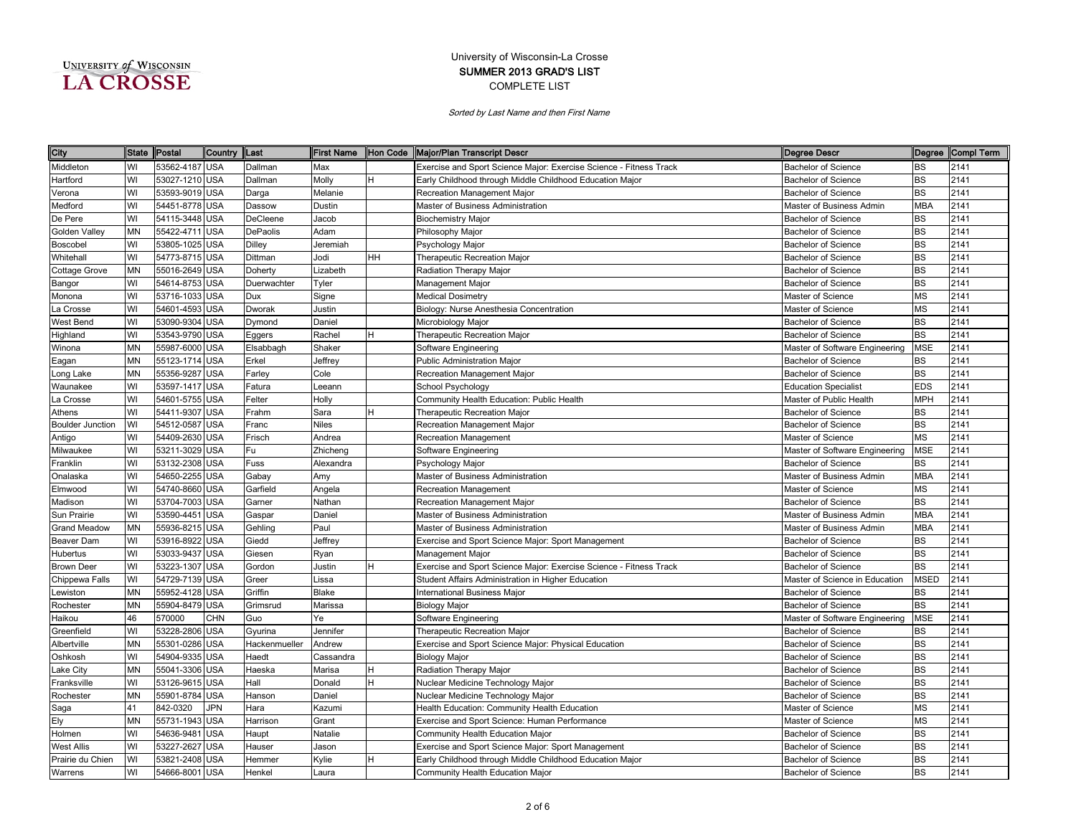| UNIVERSITY of WISCONSIN |  |
|-------------------------|--|
| <b>A CROSSE</b>         |  |

| City                    | State     | Postal         | Country  Last |               |           |    | First Name Hon Code Major/Plan Transcript Descr<br><b>Degree Descr</b>                           |             | Degree Compl Term |
|-------------------------|-----------|----------------|---------------|---------------|-----------|----|--------------------------------------------------------------------------------------------------|-------------|-------------------|
| Middleton               | WI        | 53562-4187 USA |               | Dallman       | Max       |    | Exercise and Sport Science Major: Exercise Science - Fitness Track<br><b>Bachelor of Science</b> | <b>BS</b>   | 2141              |
| Hartford                | WI        | 53027-1210 USA |               | Dallman       | Molly     | н  | Early Childhood through Middle Childhood Education Major<br><b>Bachelor of Science</b>           | <b>BS</b>   | 2141              |
| Verona                  | WI        | 53593-9019 USA |               | Darga         | Melanie   |    | Recreation Management Major<br><b>Bachelor of Science</b>                                        | <b>BS</b>   | 2141              |
| Medford                 | WI        | 54451-8778     | <b>USA</b>    | Dassow        | Dustin    |    | Master of Business Administration<br>Master of Business Admin                                    | <b>MBA</b>  | 2141              |
| De Pere                 | WI        | 54115-3448     | USA           | DeCleene      | Jacob     |    | <b>Biochemistry Major</b><br><b>Bachelor of Science</b>                                          | BS          | 2141              |
| Golden Valley           | <b>MN</b> | 55422-4711     | <b>USA</b>    | DePaolis      | Adam      |    | Philosophy Major<br><b>Bachelor of Science</b>                                                   | <b>BS</b>   | 2141              |
| Boscobel                | WI        | 53805-1025     | <b>USA</b>    | Dilley        | Jeremiah  |    | Psychology Major<br><b>Bachelor of Science</b>                                                   | <b>BS</b>   | 2141              |
| Whitehall               | WI        | 54773-8715     | <b>USA</b>    | Dittman       | Jodi      | HН | Therapeutic Recreation Major<br><b>Bachelor of Science</b>                                       | <b>BS</b>   | 2141              |
| Cottage Grove           | <b>MN</b> | 55016-2649     | <b>USA</b>    | Doherty       | Lizabeth  |    | Radiation Therapy Major<br><b>Bachelor of Science</b>                                            | <b>BS</b>   | 2141              |
| Bangor                  | WI        | 54614-8753     | <b>USA</b>    | Duerwachter   | Tyler     |    | Management Major<br><b>Bachelor of Science</b>                                                   | <b>BS</b>   | 2141              |
| Monona                  | WI        | 53716-1033     | <b>USA</b>    | Dux           | Signe     |    | <b>Medical Dosimetry</b><br>Master of Science                                                    | MS          | 2141              |
| La Crosse               | WI        | 54601-4593     | <b>USA</b>    | Dworak        | Justin    |    | Biology: Nurse Anesthesia Concentration<br>Master of Science                                     | MS          | 2141              |
| West Bend               | WI        | 53090-9304     | <b>USA</b>    | Dymond        | Daniel    |    | Microbiology Major<br><b>Bachelor of Science</b>                                                 | <b>BS</b>   | 2141              |
| Highland                | WI        | 53543-9790     | <b>USA</b>    | Eggers        | Rachel    |    | <b>Therapeutic Recreation Major</b><br><b>Bachelor of Science</b>                                | <b>BS</b>   | 2141              |
| Winona                  | <b>MN</b> | 55987-6000     | <b>USA</b>    | Elsabbagh     | Shaker    |    | Software Engineering<br>Master of Software Engineering                                           | <b>MSE</b>  | 2141              |
| Eagan                   | <b>MN</b> | 55123-1714     | <b>USA</b>    | Erkel         | Jeffrey   |    | <b>Public Administration Major</b><br><b>Bachelor of Science</b>                                 | BS          | 2141              |
| Long Lake               | <b>MN</b> | 55356-9287     | <b>USA</b>    | Farley        | Cole      |    | Recreation Management Major<br><b>Bachelor of Science</b>                                        | <b>BS</b>   | 2141              |
| Waunakee                | WI        | 53597-1417     | <b>USA</b>    | Fatura        | eeann     |    | School Psychology<br><b>Education Specialist</b>                                                 | <b>EDS</b>  | 2141              |
| La Crosse               | WI        | 54601-5755     | <b>USA</b>    | Felter        | Holly     |    | Community Health Education: Public Health<br>Master of Public Health                             | <b>MPH</b>  | 2141              |
| Athens                  | WI        | 54411-9307     | <b>USA</b>    | Frahm         | Sara      |    | Bachelor of Science<br>Therapeutic Recreation Major                                              | BS          | 2141              |
| <b>Boulder Junction</b> | WI        | 54512-0587     | <b>USA</b>    | Franc         | Niles     |    | Recreation Management Major<br><b>Bachelor of Science</b>                                        | <b>BS</b>   | 2141              |
| Antigo                  | WI        | 54409-2630 USA |               | Frisch        | Andrea    |    | Master of Science<br>Recreation Management                                                       | MS          | 2141              |
| Milwaukee               | WI        | 53211-3029 USA |               | Fu            | Zhicheng  |    | Software Engineering<br>Master of Software Engineering                                           | <b>MSE</b>  | 2141              |
| Franklin                | WI        | 53132-2308 USA |               | Fuss          | Alexandra |    | Psychology Major<br><b>Bachelor of Science</b>                                                   | <b>BS</b>   | 2141              |
| Onalaska                | WI        | 54650-2255     | <b>USA</b>    | Gabay         | Amy       |    | Master of Business Administration<br>Master of Business Admin                                    | MBA         | 2141              |
| Elmwood                 | WI        | 54740-8660     | <b>USA</b>    | Garfield      | Angela    |    | Recreation Management<br>Master of Science                                                       | MS          | 2141              |
| Madison                 | WI        | 53704-7003 USA |               | Garner        | Nathan    |    | Recreation Management Major<br><b>Bachelor of Science</b>                                        | <b>BS</b>   | 2141              |
| Sun Prairie             | WI        | 53590-4451     | <b>USA</b>    | Gaspar        | Daniel    |    | Master of Business Administration<br>Master of Business Admin                                    | <b>MBA</b>  | 2141              |
| Grand Meadow            | <b>MN</b> | 55936-8215     | <b>USA</b>    | Gehling       | Paul      |    | Master of Business Administration<br>Master of Business Admin                                    | <b>MBA</b>  | 2141              |
| Beaver Dam              | WI        | 53916-8922     | <b>JSA</b>    | Giedd         | Jeffrey   |    | Exercise and Sport Science Major: Sport Management<br><b>Bachelor of Science</b>                 | <b>BS</b>   | 2141              |
| Hubertus                | WI        | 53033-9437     | <b>USA</b>    | Giesen        | Ryan      |    | Management Major<br><b>Bachelor of Science</b>                                                   | <b>BS</b>   | 2141              |
| <b>Brown Deer</b>       | WI        | 53223-1307     | <b>USA</b>    | Gordon        | Justin    | н  | Exercise and Sport Science Major: Exercise Science - Fitness Track<br><b>Bachelor of Science</b> | BS          | 2141              |
| Chippewa Falls          | WI        | 54729-7139     | <b>USA</b>    | Greer         | issa      |    | Student Affairs Administration in Higher Education<br>Master of Science in Education             | <b>MSED</b> | 2141              |
| Lewiston                | <b>MN</b> | 55952-4128     | <b>USA</b>    | Griffin       | Blake     |    | <b>International Business Major</b><br><b>Bachelor of Science</b>                                | <b>BS</b>   | 2141              |
| Rochester               | <b>MN</b> | 55904-8479     | <b>USA</b>    | Grimsrud      | Marissa   |    | <b>Biology Major</b><br><b>Bachelor of Science</b>                                               | <b>BS</b>   | 2141              |
| Haikou                  | 46        | 570000         | CHN           | Guo           | Ye        |    | Software Engineering<br>Master of Software Engineering                                           | <b>MSE</b>  | 2141              |
| Greenfield              | WI        | 53228-2806     | <b>USA</b>    | Gyurina       | Jennifer  |    | Therapeutic Recreation Major<br><b>Bachelor of Science</b>                                       | BS          | 2141              |
| Albertville             | <b>MN</b> | 55301-0286     | <b>USA</b>    | Hackenmueller | Andrew    |    | Exercise and Sport Science Major: Physical Education<br>Bachelor of Science                      | <b>BS</b>   | 2141              |
| Oshkosh                 | WI        | 54904-9335     | USA           | Haedt         | Cassandra |    | <b>Biology Major</b><br><b>Bachelor of Science</b>                                               | <b>BS</b>   | 2141              |
| ake City                | <b>MN</b> | 55041-3306     | USA           | Haeska        | Marisa    |    | Radiation Therapy Major<br><b>Bachelor of Science</b>                                            | <b>BS</b>   | 2141              |
| Franksville             | WI        | 53126-9615     | USA           | Hall          | Donald    |    | Nuclear Medicine Technology Major<br><b>Bachelor of Science</b>                                  | <b>BS</b>   | 2141              |
| Rochester               | <b>MN</b> | 55901-8784     | <b>USA</b>    | Hanson        | Daniel    |    | Nuclear Medicine Technology Major<br><b>Bachelor of Science</b>                                  | BS          | 2141              |
| Saga                    | 41        | 842-0320       | <b>JPN</b>    | Hara          | Kazumi    |    | Health Education: Community Health Education<br>Master of Science                                | MS          | 2141              |
| Ely                     | MN        | 55731-1943     | <b>USA</b>    | Harrison      | Grant     |    | Exercise and Sport Science: Human Performance<br>Master of Science                               | МS          | 2141              |
| Holmen                  | WI        | 54636-9481     | <b>USA</b>    | Haupt         | Natalie   |    | Community Health Education Major<br><b>Bachelor of Science</b>                                   | <b>BS</b>   | 2141              |
| <b>West Allis</b>       | WI        | 53227-2627     | <b>USA</b>    | Hauser        | Jason     |    | Exercise and Sport Science Major: Sport Management<br><b>Bachelor of Science</b>                 | <b>BS</b>   | 2141              |
| Prairie du Chien        | WI        | 53821-2408 USA |               | Hemmer        | Kylie     |    | Early Childhood through Middle Childhood Education Major<br><b>Bachelor of Science</b>           | BS          | 2141              |
| Warrens                 | WI        | 54666-8001 USA |               | Henkel        | Laura     |    | Community Health Education Major<br><b>Bachelor of Science</b>                                   | <b>BS</b>   | 2141              |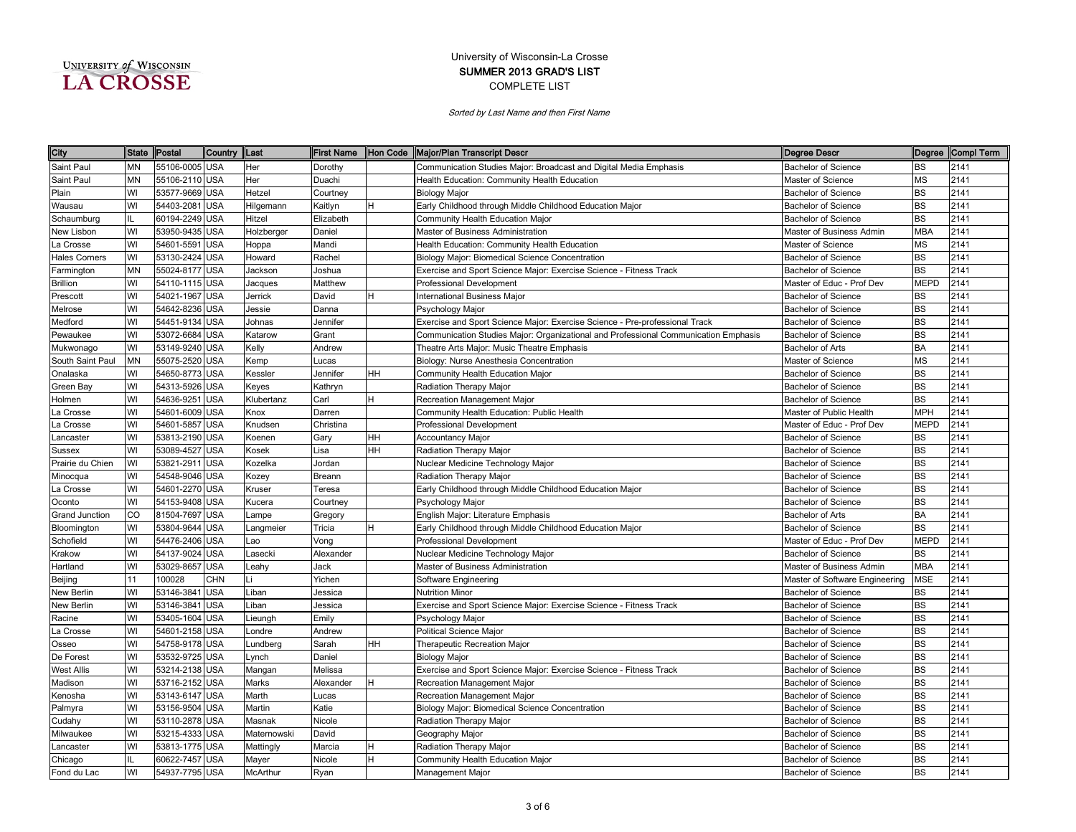| UNIVERSITY of WISCONSIN |  |
|-------------------------|--|
| <b>LA CROSSE</b>        |  |

| City                 |           | State Postal   | Country  Last |                 | First Name |     | Hon Code Major/Plan Transcript Descr                                                | Degree Descr                   |             | Degree Compl Term |
|----------------------|-----------|----------------|---------------|-----------------|------------|-----|-------------------------------------------------------------------------------------|--------------------------------|-------------|-------------------|
| Saint Paul           | <b>MN</b> | 55106-0005 USA |               | Her             | Dorothy    |     | Communication Studies Major: Broadcast and Digital Media Emphasis                   | <b>Bachelor of Science</b>     | <b>BS</b>   | 2141              |
| Saint Paul           | <b>MN</b> | 55106-2110 USA |               | Her             | Duachi     |     | Health Education: Community Health Education                                        | Master of Science              | <b>MS</b>   | 2141              |
| Plain                | WI        | 53577-9669 USA |               | Hetzel          | Courtney   |     | <b>Biology Major</b>                                                                | <b>Bachelor of Science</b>     | <b>BS</b>   | 2141              |
| Wausau               | WI        | 54403-2081 USA |               | Hilgemann       | Kaitlyn    |     | Early Childhood through Middle Childhood Education Major                            | <b>Bachelor of Science</b>     | <b>BS</b>   | 2141              |
| Schaumburg           | IL        | 60194-2249 USA |               | Hitzel          | Elizabeth  |     | Community Health Education Major                                                    | <b>Bachelor of Science</b>     | <b>BS</b>   | 2141              |
| New Lisbon           | WI        | 53950-9435 USA |               | Holzberger      | Daniel     |     | Master of Business Administration                                                   | Master of Business Admin       | <b>MBA</b>  | 2141              |
| La Crosse            | WI        | 54601-5591     | <b>USA</b>    | Hoppa           | Mandi      |     | Health Education: Community Health Education                                        | Master of Science              | MS          | 2141              |
| <b>Hales Corners</b> | WI        | 53130-2424 USA |               | Howard          | Rachel     |     | Biology Major: Biomedical Science Concentration                                     | <b>Bachelor of Science</b>     | <b>BS</b>   | 2141              |
| Farmington           | <b>MN</b> | 55024-8177 USA |               | Jackson         | Joshua     |     | Exercise and Sport Science Major: Exercise Science - Fitness Track                  | <b>Bachelor of Science</b>     | <b>BS</b>   | 2141              |
| <b>Brillion</b>      | WI        | 54110-1115 USA |               | Jacques         | Matthew    |     | Professional Development                                                            | Master of Educ - Prof Dev      | <b>MEPD</b> | 2141              |
| Prescott             | WI        | 54021-1967     | <b>USA</b>    | Jerrick         | David      |     | nternational Business Major                                                         | <b>Bachelor of Science</b>     | BS          | 2141              |
| Melrose              | WI        | 54642-8236 USA |               | Jessie          | Danna      |     | Psychology Major                                                                    | <b>Bachelor of Science</b>     | <b>BS</b>   | 2141              |
| Medford              | WI        | 54451-9134 USA |               | Johnas          | Jennifer   |     | Exercise and Sport Science Major: Exercise Science - Pre-professional Track         | <b>Bachelor of Science</b>     | <b>BS</b>   | 2141              |
| Pewaukee             | WI        | 53072-6684     | <b>USA</b>    | Katarow         | Grant      |     | Communication Studies Major: Organizational and Professional Communication Emphasis | <b>Bachelor of Science</b>     | <b>BS</b>   | 2141              |
| Mukwonago            | WI        | 53149-9240 USA |               | Kelly           | Andrew     |     | Theatre Arts Major: Music Theatre Emphasis                                          | <b>Bachelor of Arts</b>        | <b>BA</b>   | 2141              |
| South Saint Paul     | <b>MN</b> | 55075-2520 USA |               | Kemp            | Lucas      |     | Biology: Nurse Anesthesia Concentration                                             | Master of Science              | <b>MS</b>   | 2141              |
| Onalaska             | WI        | 54650-8773 USA |               | Kessler         | Jennifer   | HH. | Community Health Education Major                                                    | <b>Bachelor of Science</b>     | <b>BS</b>   | 2141              |
| Green Bay            | WI        | 54313-5926 USA |               | Keyes           | Kathryn    |     | Radiation Therapy Major                                                             | <b>Bachelor of Science</b>     | <b>BS</b>   | 2141              |
| Holmen               | WI        | 54636-9251     | <b>USA</b>    | Klubertanz      | Carl       |     | Recreation Management Major                                                         | <b>Bachelor of Science</b>     | <b>BS</b>   | 2141              |
| a Crosse.            | WI        | 54601-6009 USA |               | Knox            | Darren     |     | Community Health Education: Public Health                                           | Master of Public Health        | MPH         | 2141              |
| a Crosse.            | WI        | 54601-5857 USA |               | Knudsen         | Christina  |     | Professional Development                                                            | Master of Educ - Prof Dev      | MEPD        | 2141              |
| ancaster             | WI        | 53813-2190 USA |               | Koenen          | Gary       | HН  | Accountancy Major                                                                   | <b>Bachelor of Science</b>     | BS          | 2141              |
| Sussex               | WI        | 53089-4527 USA |               | Kosek           | Lisa       | HН  | Radiation Therapy Major                                                             | <b>Bachelor of Science</b>     | <b>BS</b>   | 2141              |
| Prairie du Chien     | WI        | 53821-2911 USA |               | Kozelka         | Jordan     |     | Nuclear Medicine Technology Major                                                   | <b>Bachelor of Science</b>     | <b>BS</b>   | 2141              |
| Minocqua             | WI        | 54548-9046 USA |               | Kozev           | Breann     |     | Radiation Therapy Major                                                             | <b>Bachelor of Science</b>     | <b>BS</b>   | 2141              |
| a Crosse             | WI        | 54601-2270 USA |               | Kruser          | Teresa     |     | Early Childhood through Middle Childhood Education Major                            | <b>Bachelor of Science</b>     | <b>BS</b>   | 2141              |
| Oconto               | WI        | 54153-9408 USA |               | Kucera          | Courtney   |     | Psychology Major                                                                    | <b>Bachelor of Science</b>     | <b>BS</b>   | 2141              |
| Grand Junction       | CO        | 81504-7697 USA |               | Lampe           | Gregory    |     | English Major: Literature Emphasis                                                  | <b>Bachelor of Arts</b>        | <b>BA</b>   | 2141              |
| Bloomington          | WI        | 53804-9644 USA |               | Langmeier       | Tricia     |     | Early Childhood through Middle Childhood Education Major                            | <b>Bachelor of Science</b>     | <b>BS</b>   | 2141              |
| Schofield            | WI        | 54476-2406     | <b>USA</b>    | Lao             | Vong       |     | <b>Professional Development</b>                                                     | Master of Educ - Prof Dev      | <b>MEPD</b> | 2141              |
| Krakow               | WI        | 54137-9024 USA |               | Lasecki         | Alexander  |     | Nuclear Medicine Technology Major                                                   | <b>Bachelor of Science</b>     | BS          | 2141              |
| Hartland             | WI        | 53029-8657     | <b>USA</b>    | Leahy           | Jack       |     | Master of Business Administration                                                   | Master of Business Admin       | MBA         | 2141              |
| Beijing              | 11        | 100028         | CHN           | ۱i              | Yichen     |     | Software Engineering                                                                | Master of Software Engineering | <b>MSE</b>  | 2141              |
| New Berlin           | WI        | 53146-3841     | <b>USA</b>    | Liban           | Jessica    |     | <b>Nutrition Minor</b>                                                              | <b>Bachelor of Science</b>     | <b>BS</b>   | 2141              |
| New Berlin           | WI        | 53146-3841     | <b>USA</b>    | Liban           | Jessica    |     | Exercise and Sport Science Major: Exercise Science - Fitness Track                  | <b>Bachelor of Science</b>     | <b>BS</b>   | 2141              |
| Racine               | WI        | 53405-1604     | <b>USA</b>    | Lieungh         | Emily      |     | Psychology Major                                                                    | <b>Bachelor of Science</b>     | <b>BS</b>   | 2141              |
| a Crosse             | WI        | 54601-2158 USA |               | Londre          | Andrew     |     | <b>Political Science Major</b>                                                      | <b>Bachelor of Science</b>     | <b>BS</b>   | 2141              |
| Osseo                | WI        | 54758-9178 USA |               | Lundberg        | Sarah      | HH. | Therapeutic Recreation Major                                                        | <b>Bachelor of Science</b>     | <b>BS</b>   | 2141              |
| De Forest            | WI        | 53532-9725 USA |               | _ynch           | Daniel     |     | Biology Major                                                                       | <b>Bachelor of Science</b>     | <b>BS</b>   | 2141              |
| West Allis           | WI        | 53214-2138 USA |               | Mangan          | Melissa    |     | Exercise and Sport Science Major: Exercise Science - Fitness Track                  | <b>Bachelor of Science</b>     | <b>BS</b>   | 2141              |
| Madison              | WI        | 53716-2152 USA |               | Marks           | Alexander  |     | Recreation Management Major                                                         | <b>Bachelor of Science</b>     | <b>BS</b>   | 2141              |
| Kenosha              | WI        | 53143-6147 USA |               | Marth           | Lucas      |     | Recreation Management Major                                                         | <b>Bachelor of Science</b>     | <b>BS</b>   | 2141              |
| Palmyra              | WI        | 53156-9504 USA |               | Martin          | Katie      |     | <b>Biology Major: Biomedical Science Concentration</b>                              | <b>Bachelor of Science</b>     | BS          | 2141              |
| Cudahy               | WI        | 53110-2878 USA |               | Masnak          | Nicole     |     | Radiation Therapy Major                                                             | <b>Bachelor of Science</b>     | <b>BS</b>   | 2141              |
| Milwaukee            | WI        | 53215-4333 USA |               | Maternowski     | David      |     | Geography Major                                                                     | <b>Bachelor of Science</b>     | <b>BS</b>   | 2141              |
| .ancaster            | WI        | 53813-1775 USA |               | Mattingly       | Marcia     |     | Radiation Therapy Major                                                             | <b>Bachelor of Science</b>     | <b>BS</b>   | 2141              |
| Chicago              | IL        | 60622-7457 USA |               | Mayer           | Nicole     | н   | Community Health Education Major                                                    | <b>Bachelor of Science</b>     | <b>BS</b>   | 2141              |
| Fond du Lac          | WI        | 54937-7795 USA |               | <b>McArthur</b> | Ryan       |     | Management Major                                                                    | <b>Bachelor of Science</b>     | <b>BS</b>   | 2141              |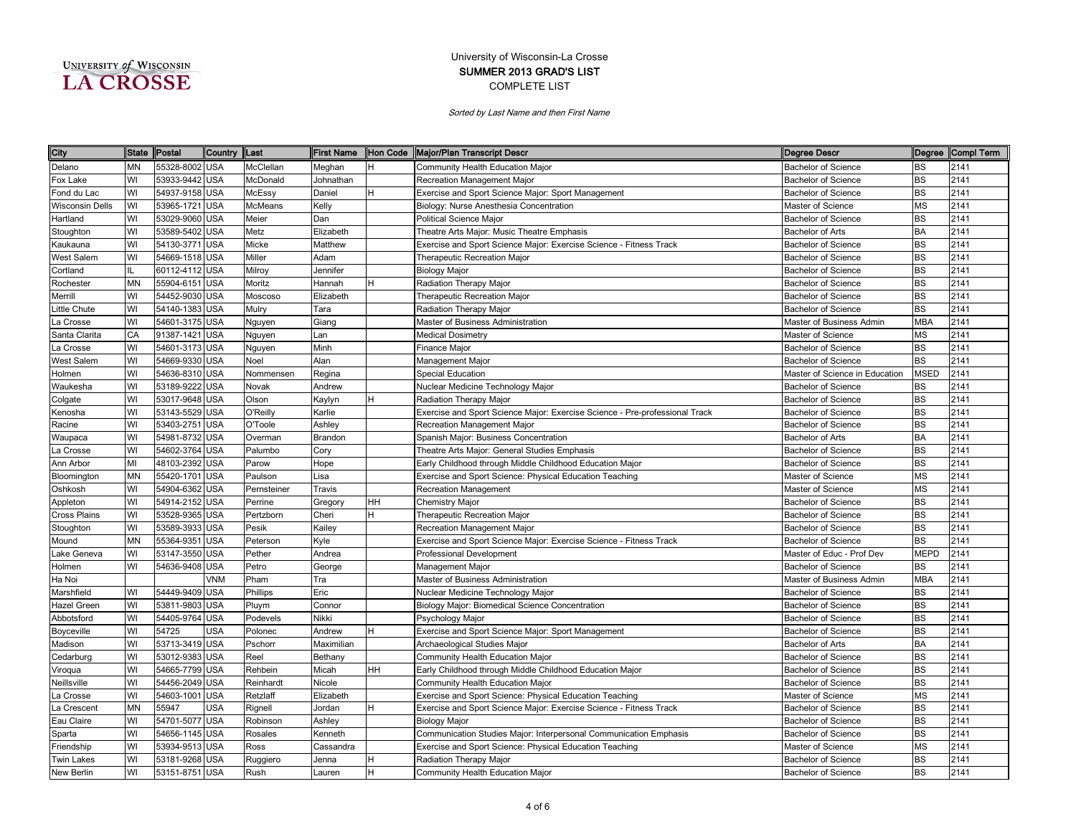| UNIVERSITY of WISCONSIN |  |
|-------------------------|--|
| <b>LA CROSSE</b>        |  |

| City                   | <b>State</b> | Postal         | Country    | <b>ILast</b> | <b>First Name</b> |    | Hon Code Major/Plan Transcript Descr<br>Degree Descr                                                      |             | Degree Compl Term |
|------------------------|--------------|----------------|------------|--------------|-------------------|----|-----------------------------------------------------------------------------------------------------------|-------------|-------------------|
| Delano                 | <b>MN</b>    | 55328-8002 USA |            | McClellan    | Meghan            | н  | Community Health Education Major<br><b>Bachelor of Science</b>                                            | <b>BS</b>   | 2141              |
| Fox Lake               | WI           | 53933-9442 USA |            | McDonald     | Johnathan         |    | Recreation Management Major<br><b>Bachelor of Science</b>                                                 | <b>BS</b>   | 2141              |
| Fond du Lac            | WI           | 54937-9158 USA |            | McEssy       | Daniel            | н  | Exercise and Sport Science Major: Sport Management<br><b>Bachelor of Science</b>                          | <b>BS</b>   | 2141              |
| <b>Wisconsin Dells</b> | WI           | 53965-1721 USA |            | McMeans      | Kelly             |    | Master of Science<br>Biology: Nurse Anesthesia Concentration                                              | <b>MS</b>   | 2141              |
| Hartland               | WI           | 53029-9060 USA |            | Meier        | Dan               |    | <b>Political Science Major</b><br><b>Bachelor of Science</b>                                              | <b>BS</b>   | 2141              |
| Stoughton              | WI           | 53589-5402 USA |            | Metz         | Elizabeth         |    | Theatre Arts Major: Music Theatre Emphasis<br><b>Bachelor of Arts</b>                                     | <b>BA</b>   | 2141              |
| Kaukauna               | WI           | 54130-3771     | <b>USA</b> | Micke        | Matthew           |    | Exercise and Sport Science Major: Exercise Science - Fitness Track<br><b>Bachelor of Science</b>          | <b>BS</b>   | 2141              |
| West Salem             | WI           | 54669-1518 USA |            | Miller       | Adam              |    | Therapeutic Recreation Major<br><b>Bachelor of Science</b>                                                | <b>BS</b>   | 2141              |
| Cortland               | IL           | 60112-4112 USA |            | Milroy       | Jennifer          |    | <b>Biology Major</b><br><b>Bachelor of Science</b>                                                        | <b>BS</b>   | 2141              |
| Rochester              | <b>MN</b>    | 55904-6151 USA |            | Moritz       | Hannah            |    | Radiation Therapy Major<br><b>Bachelor of Science</b>                                                     | <b>BS</b>   | 2141              |
| Merrill                | WI           | 54452-9030     | <b>USA</b> | Moscoso      | Elizabeth         |    | Therapeutic Recreation Major<br><b>Bachelor of Science</b>                                                | <b>BS</b>   | 2141              |
| ittle Chute            | WI           | 54140-1383 USA |            | Mulry        | Tara              |    | <b>Radiation Therapy Major</b><br><b>Bachelor of Science</b>                                              | <b>BS</b>   | 2141              |
| a Crosse               | WI           | 54601-3175 USA |            | Nguyen       | Giang             |    | Master of Business Administration<br>Master of Business Admin                                             | <b>MBA</b>  | 2141              |
| Santa Clarita          | CA           | 91387-1421 USA |            | Nguyen       | Lan               |    | <b>Medical Dosimetry</b><br>Master of Science                                                             | <b>MS</b>   | 2141              |
| a Crosse               | WI           | 54601-3173 USA |            | Nguyen       | Minh              |    | <b>Bachelor of Science</b><br>Finance Major                                                               | <b>BS</b>   | 2141              |
| <b>West Salem</b>      | WI           | 54669-9330 USA |            | Noel         | Alan              |    | <b>Bachelor of Science</b><br>Management Major                                                            | <b>BS</b>   | 2141              |
| Holmen                 | WI           | 54636-8310 USA |            | Nommensen    | Regina            |    | <b>Special Education</b><br>Master of Science in Education                                                | <b>MSED</b> | 2141              |
| Waukesha               | WI           | 53189-9222 USA |            | Novak        | Andrew            |    | Nuclear Medicine Technology Major<br><b>Bachelor of Science</b>                                           | <b>BS</b>   | 2141              |
| Colgate                | WI           | 53017-9648 USA |            | Olson        | Kaylyn            |    | Bachelor of Science<br>Radiation Therapy Major                                                            | <b>BS</b>   | 2141              |
| Kenosha                | WI           | 53143-5529 USA |            | O'Reilly     | Karlie            |    | Exercise and Sport Science Major: Exercise Science - Pre-professional Track<br><b>Bachelor of Science</b> | <b>BS</b>   | 2141              |
| Racine                 | WI           | 53403-2751 USA |            | O'Toole      | Ashley            |    | Recreation Management Major<br><b>Bachelor of Science</b>                                                 | <b>BS</b>   | 2141              |
| Waupaca                | WI           | 54981-8732 USA |            | Overman      | Brandon           |    | Spanish Major: Business Concentration<br>Bachelor of Arts                                                 | <b>BA</b>   | 2141              |
| a Crosse               | WI           | 54602-3764 USA |            | Palumbo      | Cory              |    | Theatre Arts Major: General Studies Emphasis<br><b>Bachelor of Science</b>                                | <b>BS</b>   | 2141              |
| Ann Arbor              | MI           | 48103-2392 USA |            | Parow        | Hope              |    | Early Childhood through Middle Childhood Education Major<br><b>Bachelor of Science</b>                    | <b>BS</b>   | 2141              |
| Bloomington            | <b>MN</b>    | 55420-1701 USA |            | Paulson      | Lisa              |    | Exercise and Sport Science: Physical Education Teaching<br>Master of Science                              | <b>MS</b>   | 2141              |
| Oshkosh                | WI           | 54904-6362 USA |            | Pernsteiner  | Travis            |    | Master of Science<br>Recreation Management                                                                | <b>MS</b>   | 2141              |
| Appleton               | WI           | 54914-2152 USA |            | Perrine      | Gregory           | HН | <b>Chemistry Major</b><br><b>Bachelor of Science</b>                                                      | <b>BS</b>   | 2141              |
| Cross Plains           | WI           | 53528-9365 USA |            | Pertzborn    | Cheri             |    | Therapeutic Recreation Major<br><b>Bachelor of Science</b>                                                | <b>BS</b>   | 2141              |
| Stoughton              | WI           | 53589-3933 USA |            | Pesik        | Kailey            |    | Recreation Management Major<br><b>Bachelor of Science</b>                                                 | <b>BS</b>   | 2141              |
| Mound                  | <b>MN</b>    | 55364-9351     | <b>USA</b> | Peterson     | Kyle              |    | Exercise and Sport Science Major: Exercise Science - Fitness Track<br><b>Bachelor of Science</b>          | <b>BS</b>   | 2141              |
| Lake Geneva            | WI           | 53147-3550 USA |            | Pether       | Andrea            |    | <b>Professional Development</b><br>Master of Educ - Prof Dev                                              | <b>MEPD</b> | 2141              |
| Holmen                 | WI           | 54636-9408     | <b>USA</b> | Petro        | George            |    | Management Major<br><b>Bachelor of Science</b>                                                            | BS          | 2141              |
| Ha Noi                 |              |                | VNM        | Pham         | Tra               |    | Master of Business Administration<br>Master of Business Admin                                             | <b>MBA</b>  | 2141              |
| Marshfield             | WI           | 54449-9409 USA |            | Phillips     | Eric              |    | Nuclear Medicine Technology Major<br><b>Bachelor of Science</b>                                           | <b>BS</b>   | 2141              |
| Hazel Green            | WI           | 53811-9803 USA |            | Pluym        | Connor            |    | Biology Major: Biomedical Science Concentration<br><b>Bachelor of Science</b>                             | <b>BS</b>   | 2141              |
| Abbotsford             | WI           | 54405-9764 USA |            | Podevels     | Nikki             |    | <b>Bachelor of Science</b><br>Psychology Major                                                            | <b>BS</b>   | 2141              |
| Boyceville             | WI           | 54725          | <b>USA</b> | Polonec      | Andrew            |    | Exercise and Sport Science Major: Sport Management<br><b>Bachelor of Science</b>                          | <b>BS</b>   | 2141              |
| Madison                | WI           | 53713-3419 USA |            | Pschorr      | Maximilian        |    | Archaeological Studies Major<br><b>Bachelor of Arts</b>                                                   | BA          | 2141              |
| Cedarburg              | WI           | 53012-9383 USA |            | Reel         | Bethany           |    | Community Health Education Major<br><b>Bachelor of Science</b>                                            | <b>BS</b>   | 2141              |
| Viroqua                | WI           | 54665-7799 USA |            | Rehbein      | Micah             | HΗ | Early Childhood through Middle Childhood Education Major<br>Bachelor of Science                           | <b>BS</b>   | 2141              |
| Neillsville            | WI           | 54456-2049 USA |            | Reinhardt    | Nicole            |    | Community Health Education Major<br><b>Bachelor of Science</b>                                            | <b>BS</b>   | 2141              |
| La Crosse              | WI           | 54603-1001 USA |            | Retzlaff     | Elizabeth         |    | Exercise and Sport Science: Physical Education Teaching<br>Master of Science                              | <b>MS</b>   | 2141              |
| La Crescent            | <b>MN</b>    | 55947          | <b>USA</b> | Rignell      | Jordan            |    | Exercise and Sport Science Major: Exercise Science - Fitness Track<br><b>Bachelor of Science</b>          | <b>BS</b>   | 2141              |
| Eau Claire             | WI           | 54701-5077 USA |            | Robinson     | Ashley            |    | Bachelor of Science<br><b>Biology Major</b>                                                               | <b>BS</b>   | 2141              |
| Sparta                 | WI           | 54656-1145 USA |            | Rosales      | Kenneth           |    | Communication Studies Major: Interpersonal Communication Emphasis<br><b>Bachelor of Science</b>           | <b>BS</b>   | 2141              |
| Friendship             | WI           | 53934-9513 USA |            | Ross         | Cassandra         |    | Exercise and Sport Science: Physical Education Teaching<br>Master of Science                              | <b>MS</b>   | 2141              |
| <b>Twin Lakes</b>      | WI           | 53181-9268 USA |            | Ruggiero     | Jenna             |    | Radiation Therapy Major<br><b>Bachelor of Science</b>                                                     | <b>BS</b>   | 2141              |
| New Berlin             | WI           | 53151-8751 USA |            | Rush         | Lauren            | H. | Community Health Education Major<br><b>Bachelor of Science</b>                                            | <b>BS</b>   | 2141              |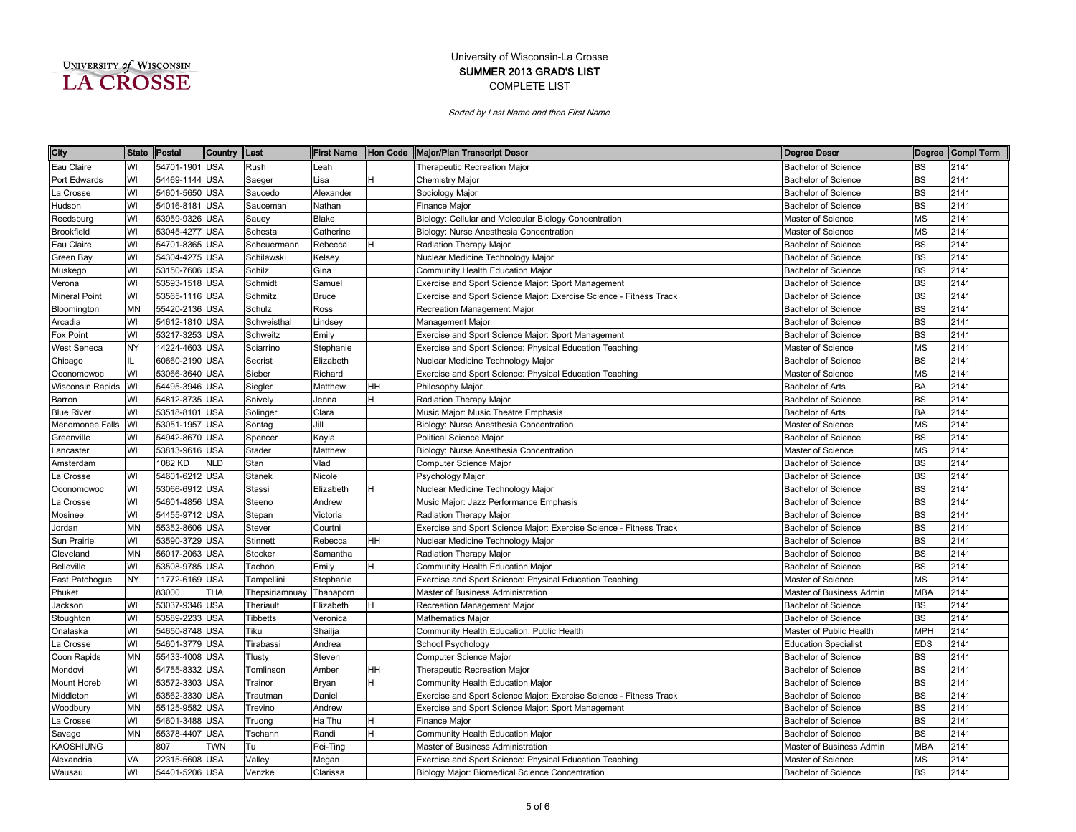| UNIVERSITY of WISCONSIN |  |
|-------------------------|--|
| <b>A CROSSE</b>         |  |

| City                    | State Postal |                | Country    | <b>Last</b>     | First Name   |    | Hon Code Major/Plan Transcript Descr                               | Degree Descr                |            | Degree Compl Term |
|-------------------------|--------------|----------------|------------|-----------------|--------------|----|--------------------------------------------------------------------|-----------------------------|------------|-------------------|
| Eau Claire              | WI           | 54701-1901 USA |            | Rush            | Leah         |    | <b>Therapeutic Recreation Major</b>                                | <b>Bachelor of Science</b>  | <b>BS</b>  | 2141              |
| Port Edwards            | WI           | 54469-1144 USA |            | Saeger          | Lisa         | H  | Chemistry Major                                                    | <b>Bachelor of Science</b>  | <b>BS</b>  | 2141              |
| La Crosse               | WI           | 54601-5650 USA |            | Saucedo         | Alexander    |    | Sociology Major                                                    | <b>Bachelor of Science</b>  | <b>BS</b>  | 2141              |
| Hudson                  | WI           | 54016-8181 USA |            | Sauceman        | Nathan       |    | Finance Major                                                      | <b>Bachelor of Science</b>  | <b>BS</b>  | 2141              |
| Reedsburg               | WI           | 53959-9326 USA |            | Sauey           | Blake        |    | Biology: Cellular and Molecular Biology Concentration              | Master of Science           | <b>MS</b>  | 2141              |
| Brookfield              | WI           | 53045-4277 USA |            | Schesta         | Catherine    |    | Biology: Nurse Anesthesia Concentration                            | Master of Science           | <b>MS</b>  | 2141              |
| Eau Claire              | WI           | 54701-8365 USA |            | Scheuermann     | Rebecca      |    | Radiation Therapy Major                                            | <b>Bachelor of Science</b>  | <b>BS</b>  | 2141              |
| Green Bay               | WI           | 54304-4275 USA |            | Schilawski      | Kelsey       |    | Nuclear Medicine Technology Major                                  | <b>Bachelor of Science</b>  | <b>BS</b>  | 2141              |
| Muskego                 | WI           | 53150-7606 USA |            | Schilz          | Gina         |    | Community Health Education Major                                   | <b>Bachelor of Science</b>  | <b>BS</b>  | 2141              |
| Verona                  | WI           | 53593-1518 USA |            | Schmidt         | Samuel       |    | Exercise and Sport Science Major: Sport Management                 | <b>Bachelor of Science</b>  | <b>BS</b>  | 2141              |
| <b>Mineral Point</b>    | WI           | 53565-1116     | <b>USA</b> | Schmitz         | <b>Bruce</b> |    | Exercise and Sport Science Major: Exercise Science - Fitness Track | <b>Bachelor of Science</b>  | <b>BS</b>  | 2141              |
| Bloomington             | <b>MN</b>    | 55420-2136 USA |            | Schulz          | Ross         |    | Recreation Management Major                                        | <b>Bachelor of Science</b>  | <b>BS</b>  | 2141              |
| Arcadia                 | WI           | 54612-1810 USA |            | Schweisthal     | Lindsey      |    | Management Major                                                   | <b>Bachelor of Science</b>  | <b>BS</b>  | 2141              |
| Fox Point               | WI           | 53217-3253 USA |            | Schweitz        | Emily        |    | Exercise and Sport Science Major: Sport Management                 | <b>Bachelor of Science</b>  | <b>BS</b>  | 2141              |
| West Seneca             | <b>NY</b>    | 14224-4603 USA |            | Sciarrino       | Stephanie    |    | Exercise and Sport Science: Physical Education Teaching            | Master of Science           | MS         | 2141              |
| Chicago                 | IL           | 60660-2190 USA |            | Secrist         | Elizabeth    |    | Nuclear Medicine Technology Major                                  | <b>Bachelor of Science</b>  | <b>BS</b>  | 2141              |
| Oconomowoc              | WI           | 53066-3640 USA |            | Sieber          | Richard      |    | Exercise and Sport Science: Physical Education Teaching            | Master of Science           | MS         | 2141              |
| <b>Wisconsin Rapids</b> | WI           | 54495-3946 USA |            | Siegler         | Matthew      | HН | Philosophy Major                                                   | <b>Bachelor of Arts</b>     | <b>BA</b>  | 2141              |
| Barron                  | WI           | 54812-8735 USA |            | Snively         | Jenna        |    | Radiation Therapy Major                                            | <b>Bachelor of Science</b>  | <b>BS</b>  | 2141              |
| <b>Blue River</b>       | WI           | 53518-8101 USA |            | Solinger        | Clara        |    | Music Major: Music Theatre Emphasis                                | <b>Bachelor of Arts</b>     | BA         | 2141              |
| Menomonee Falls         | WI           | 53051-1957 USA |            | Sontag          | Jill         |    | Biology: Nurse Anesthesia Concentration                            | Master of Science           | MS         | 2141              |
| Greenville              | WI           | 54942-8670 USA |            | Spencer         | Kayla        |    | <b>Political Science Major</b>                                     | <b>Bachelor of Science</b>  | <b>BS</b>  | 2141              |
| _ancaster               | WI           | 53813-9616 USA |            | Stader          | Matthew      |    | Biology: Nurse Anesthesia Concentration                            | Master of Science           | ΜS         | 2141              |
| Amsterdam               |              | 1082 KD        | <b>NLD</b> | Stan            | Vlad         |    | Computer Science Major                                             | <b>Bachelor of Science</b>  | <b>BS</b>  | 2141              |
| a Crosse                | WI           | 54601-6212 USA |            | <b>Stanek</b>   | Nicole       |    | Psychology Major                                                   | Bachelor of Science         | <b>BS</b>  | 2141              |
| Oconomowoc              | WI           | 53066-6912 USA |            | Stassi          | Elizabeth    |    | Nuclear Medicine Technology Major                                  | <b>Bachelor of Science</b>  | <b>BS</b>  | 2141              |
| a Crosse.               | WI           | 54601-4856 USA |            | Steeno          | Andrew       |    | Music Major: Jazz Performance Emphasis                             | Bachelor of Science         | <b>BS</b>  | 2141              |
| Mosinee                 | WI           | 54455-9712 USA |            | Stepan          | Victoria     |    | Radiation Therapy Major                                            | <b>Bachelor of Science</b>  | <b>BS</b>  | 2141              |
| Jordan                  | <b>MN</b>    | 55352-8606 USA |            | Stever          | Courtni      |    | Exercise and Sport Science Major: Exercise Science - Fitness Track | <b>Bachelor of Science</b>  | <b>BS</b>  | 2141              |
| Sun Prairie             | WI           | 53590-3729 USA |            | Stinnett        | Rebecca      | HН | Nuclear Medicine Technology Major                                  | <b>Bachelor of Science</b>  | <b>BS</b>  | 2141              |
| Cleveland               | <b>MN</b>    | 56017-2063 USA |            | Stocker         | Samantha     |    | Radiation Therapy Major                                            | <b>Bachelor of Science</b>  | <b>BS</b>  | 2141              |
| <b>Belleville</b>       | WI           | 53508-9785     | <b>USA</b> | Tachon          | Emily        |    | Community Health Education Major                                   | <b>Bachelor of Science</b>  | <b>BS</b>  | 2141              |
| East Patchogue          | <b>NY</b>    | 11772-6169 USA |            | Tampellini      | Stephanie    |    | Exercise and Sport Science: Physical Education Teaching            | Master of Science           | MS         | 2141              |
| Phuket                  |              | 83000          | THA        | Thepsiriamnuay  | Thanaporn    |    | Master of Business Administration                                  | Master of Business Admin    | <b>MBA</b> | 2141              |
| Jackson                 | WI           | 53037-9346 USA |            | Theriault       | Elizabeth    |    | Recreation Management Major                                        | <b>Bachelor of Science</b>  | <b>BS</b>  | 2141              |
| Stoughton               | WI           | 53589-2233 USA |            | <b>Tibbetts</b> | Veronica     |    | Mathematics Major                                                  | <b>Bachelor of Science</b>  | <b>BS</b>  | 2141              |
| Onalaska                | WI           | 54650-8748 USA |            | Tiku            | Shailja      |    | Community Health Education: Public Health                          | Master of Public Health     | <b>MPH</b> | 2141              |
| a Crosse                | WI           | 54601-3779 USA |            | Tirabassi       | Andrea       |    | School Psychology                                                  | <b>Education Specialist</b> | <b>EDS</b> | 2141              |
| Coon Rapids             | <b>MN</b>    | 55433-4008 USA |            | Tlusty          | Steven       |    | Computer Science Major                                             | <b>Bachelor of Science</b>  | <b>BS</b>  | 2141              |
| Mondovi                 | WI           | 54755-8332     | <b>USA</b> | Tomlinson       | Amber        | HН | <b>Therapeutic Recreation Major</b>                                | <b>Bachelor of Science</b>  | BS         | 2141              |
| Mount Horeb             | WI           | 53572-3303 USA |            | Trainor         | Bryan        |    | Community Health Education Major                                   | <b>Bachelor of Science</b>  | <b>BS</b>  | 2141              |
| Middleton               | WI           | 53562-3330 USA |            | <b>Trautman</b> | Daniel       |    | Exercise and Sport Science Major: Exercise Science - Fitness Track | <b>Bachelor of Science</b>  | <b>BS</b>  | 2141              |
| Woodbury                | MN           | 55125-9582     | <b>USA</b> | Trevino         | Andrew       |    | Exercise and Sport Science Major: Sport Management                 | <b>Bachelor of Science</b>  | <b>BS</b>  | 2141              |
| a Crosse                | WI           | 54601-3488     | <b>USA</b> | <b>Truong</b>   | Ha Thu       |    | Finance Major                                                      | Bachelor of Science         | BS         | 2141              |
| Savage                  | <b>MN</b>    | 55378-4407 USA |            | Tschann         | Randi        |    | Community Health Education Major                                   | <b>Bachelor of Science</b>  | BS         | 2141              |
| <b>KAOSHIUNG</b>        |              | 807            | <b>TWN</b> | Tu              | Pei-Ting     |    | Master of Business Administration                                  | Master of Business Admin    | MBA        | 2141              |
| Alexandria              | VA           | 22315-5608 USA |            | Valley          | Megan        |    | Exercise and Sport Science: Physical Education Teaching            | Master of Science           | ΜS         | 2141              |
| Wausau                  | WI           | 54401-5206 USA |            | Venzke          | Clarissa     |    | Biology Major: Biomedical Science Concentration                    | <b>Bachelor of Science</b>  | <b>BS</b>  | 2141              |